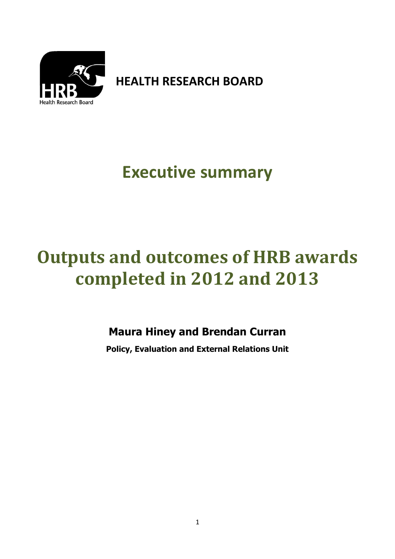

**HEALTH RESEARCH BOARD**

## **Executive summary**

# **Outputs and outcomes of HRB awards completed in 2012 and 2013**

### **Maura Hiney and Brendan Curran**

**Policy, Evaluation and External Relations Unit**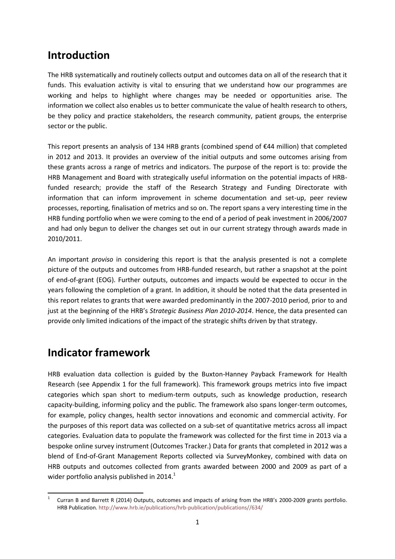### **Introduction**

The HRB systematically and routinely collects output and outcomes data on all of the research that it funds. This evaluation activity is vital to ensuring that we understand how our programmes are working and helps to highlight where changes may be needed or opportunities arise. The information we collect also enables us to better communicate the value of health research to others, be they policy and practice stakeholders, the research community, patient groups, the enterprise sector or the public.

This report presents an analysis of 134 HRB grants (combined spend of €44 million) that completed in 2012 and 2013. It provides an overview of the initial outputs and some outcomes arising from these grants across a range of metrics and indicators. The purpose of the report is to: provide the HRB Management and Board with strategically useful information on the potential impacts of HRBfunded research; provide the staff of the Research Strategy and Funding Directorate with information that can inform improvement in scheme documentation and set-up, peer review processes, reporting, finalisation of metrics and so on. The report spans a very interesting time in the HRB funding portfolio when we were coming to the end of a period of peak investment in 2006/2007 and had only begun to deliver the changes set out in our current strategy through awards made in 2010/2011.

An important *proviso* in considering this report is that the analysis presented is not a complete picture of the outputs and outcomes from HRB-funded research, but rather a snapshot at the point of end-of-grant (EOG). Further outputs, outcomes and impacts would be expected to occur in the years following the completion of a grant. In addition, it should be noted that the data presented in this report relates to grants that were awarded predominantly in the 2007-2010 period, prior to and just at the beginning of the HRB's *Strategic Business Plan 2010-2014*. Hence, the data presented can provide only limited indications of the impact of the strategic shifts driven by that strategy.

### **Indicator framework**

HRB evaluation data collection is guided by the Buxton-Hanney Payback Framework for Health Research (see Appendix 1 for the full framework). This framework groups metrics into five impact categories which span short to medium-term outputs, such as knowledge production, research capacity-building, informing policy and the public. The framework also spans longer-term outcomes, for example, policy changes, health sector innovations and economic and commercial activity. For the purposes of this report data was collected on a sub-set of quantitative metrics across all impact categories. Evaluation data to populate the framework was collected for the first time in 2013 via a bespoke online survey instrument (Outcomes Tracker.) Data for grants that completed in 2012 was a blend of End-of-Grant Management Reports collected via SurveyMonkey, combined with data on HRB outputs and outcomes collected from grants awarded between 2000 and 2009 as part of a wider portfolio analysis published in  $2014.<sup>1</sup>$ 

 $\frac{1}{1}$ Curran B and Barrett R (2014) Outputs, outcomes and impacts of arising from the HRB's 2000-2009 grants portfolio. HRB Publication. [http://www.hrb.ie/publications/hrb-publication/publications//634/](http://www.hrb.ie/publications/hrb-publication/publications/634/)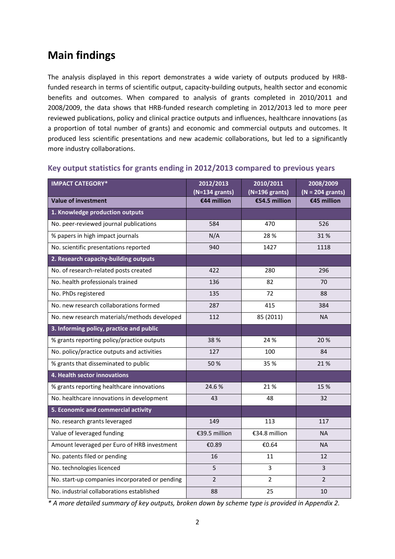### **Main findings**

The analysis displayed in this report demonstrates a wide variety of outputs produced by HRBfunded research in terms of scientific output, capacity-building outputs, health sector and economic benefits and outcomes. When compared to analysis of grants completed in 2010/2011 and 2008/2009, the data shows that HRB-funded research completing in 2012/2013 led to more peer reviewed publications, policy and clinical practice outputs and influences, healthcare innovations (as a proportion of total number of grants) and economic and commercial outputs and outcomes. It produced less scientific presentations and new academic collaborations, but led to a significantly more industry collaborations.

| <b>IMPACT CATEGORY*</b>                        | 2012/2013        | 2010/2011        | 2008/2009          |
|------------------------------------------------|------------------|------------------|--------------------|
|                                                | $(N=134$ grants) | $(N=196$ grants) | $(N = 204$ grants) |
| <b>Value of investment</b>                     | €44 million      | €54.5 million    | €45 million        |
| 1. Knowledge production outputs                |                  |                  |                    |
| No. peer-reviewed journal publications         | 584              | 470              | 526                |
| % papers in high impact journals               | N/A              | 28 %             | 31%                |
| No. scientific presentations reported          | 940              | 1427             | 1118               |
| 2. Research capacity-building outputs          |                  |                  |                    |
| No. of research-related posts created          | 422              | 280              | 296                |
| No. health professionals trained               | 136              | 82               | 70                 |
| No. PhDs registered                            | 135              | 72               | 88                 |
| No. new research collaborations formed         | 287              | 415              | 384                |
| No. new research materials/methods developed   | 112              | 85 (2011)        | <b>NA</b>          |
| 3. Informing policy, practice and public       |                  |                  |                    |
| % grants reporting policy/practice outputs     | 38%              | 24 %             | 20 %               |
| No. policy/practice outputs and activities     | 127              | 100              | 84                 |
| % grants that disseminated to public           | 50%              | 35 %             | 21 %               |
| 4. Health sector innovations                   |                  |                  |                    |
| % grants reporting healthcare innovations      | 24.6%            | 21%              | 15 %               |
| No. healthcare innovations in development      | 43               | 48               | 32                 |
| 5. Economic and commercial activity            |                  |                  |                    |
| No. research grants leveraged                  | 149              | 113              | 117                |
| Value of leveraged funding                     | €39.5 million    | €34.8 million    | <b>NA</b>          |
| Amount leveraged per Euro of HRB investment    | €0.89            | €0.64            | <b>NA</b>          |
| No. patents filed or pending                   | 16               | 11               | 12                 |
| No. technologies licenced                      | 5                | $\overline{3}$   | 3                  |
| No. start-up companies incorporated or pending | $\overline{2}$   | $\overline{2}$   | $\overline{2}$     |
| No. industrial collaborations established      | 88               | 25               | 10                 |

#### **Key output statistics for grants ending in 2012/2013 compared to previous years**

*\* A more detailed summary of key outputs, broken down by scheme type is provided in Appendix 2.*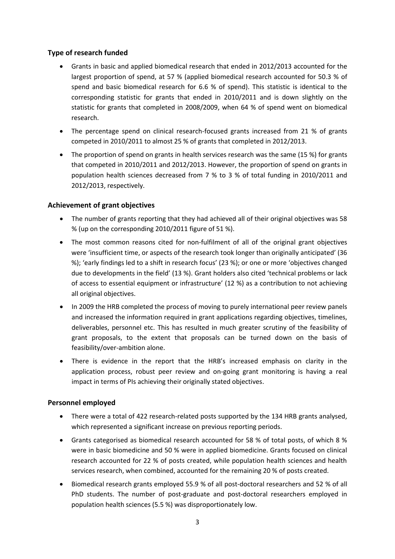#### **Type of research funded**

- Grants in basic and applied biomedical research that ended in 2012/2013 accounted for the largest proportion of spend, at 57 % (applied biomedical research accounted for 50.3 % of spend and basic biomedical research for 6.6 % of spend). This statistic is identical to the corresponding statistic for grants that ended in 2010/2011 and is down slightly on the statistic for grants that completed in 2008/2009, when 64 % of spend went on biomedical research.
- The percentage spend on clinical research-focused grants increased from 21 % of grants competed in 2010/2011 to almost 25 % of grants that completed in 2012/2013.
- The proportion of spend on grants in health services research was the same (15 %) for grants that competed in 2010/2011 and 2012/2013. However, the proportion of spend on grants in population health sciences decreased from 7 % to 3 % of total funding in 2010/2011 and 2012/2013, respectively.

#### **Achievement of grant objectives**

- The number of grants reporting that they had achieved all of their original objectives was 58 % (up on the corresponding 2010/2011 figure of 51 %).
- The most common reasons cited for non-fulfilment of all of the original grant objectives were 'insufficient time, or aspects of the research took longer than originally anticipated' (36 %); 'early findings led to a shift in research focus' (23 %); or one or more 'objectives changed due to developments in the field' (13 %). Grant holders also cited 'technical problems or lack of access to essential equipment or infrastructure' (12 %) as a contribution to not achieving all original objectives.
- In 2009 the HRB completed the process of moving to purely international peer review panels and increased the information required in grant applications regarding objectives, timelines, deliverables, personnel etc. This has resulted in much greater scrutiny of the feasibility of grant proposals, to the extent that proposals can be turned down on the basis of feasibility/over-ambition alone.
- There is evidence in the report that the HRB's increased emphasis on clarity in the application process, robust peer review and on-going grant monitoring is having a real impact in terms of PIs achieving their originally stated objectives.

#### **Personnel employed**

- There were a total of 422 research-related posts supported by the 134 HRB grants analysed, which represented a significant increase on previous reporting periods.
- Grants categorised as biomedical research accounted for 58 % of total posts, of which 8 % were in basic biomedicine and 50 % were in applied biomedicine. Grants focused on clinical research accounted for 22 % of posts created, while population health sciences and health services research, when combined, accounted for the remaining 20 % of posts created.
- Biomedical research grants employed 55.9 % of all post-doctoral researchers and 52 % of all PhD students. The number of post-graduate and post-doctoral researchers employed in population health sciences (5.5 %) was disproportionately low.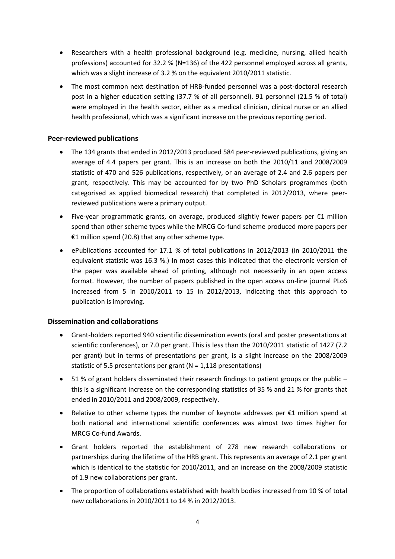- Researchers with a health professional background (e.g. medicine, nursing, allied health professions) accounted for 32.2 % (N=136) of the 422 personnel employed across all grants, which was a slight increase of 3.2 % on the equivalent 2010/2011 statistic.
- The most common next destination of HRB-funded personnel was a post-doctoral research post in a higher education setting (37.7 % of all personnel). 91 personnel (21.5 % of total) were employed in the health sector, either as a medical clinician, clinical nurse or an allied health professional, which was a significant increase on the previous reporting period.

#### **Peer-reviewed publications**

- The 134 grants that ended in 2012/2013 produced 584 peer-reviewed publications, giving an average of 4.4 papers per grant. This is an increase on both the 2010/11 and 2008/2009 statistic of 470 and 526 publications, respectively, or an average of 2.4 and 2.6 papers per grant, respectively. This may be accounted for by two PhD Scholars programmes (both categorised as applied biomedical research) that completed in 2012/2013, where peerreviewed publications were a primary output.
- Five-year programmatic grants, on average, produced slightly fewer papers per €1 million spend than other scheme types while the MRCG Co-fund scheme produced more papers per €1 million spend (20.8) that any other scheme type.
- ePublications accounted for 17.1 % of total publications in 2012/2013 (in 2010/2011 the equivalent statistic was 16.3 %.) In most cases this indicated that the electronic version of the paper was available ahead of printing, although not necessarily in an open access format. However, the number of papers published in the open access on-line journal PLoS increased from 5 in 2010/2011 to 15 in 2012/2013, indicating that this approach to publication is improving.

#### **Dissemination and collaborations**

- Grant-holders reported 940 scientific dissemination events (oral and poster presentations at scientific conferences), or 7.0 per grant. This is less than the 2010/2011 statistic of 1427 (7.2 per grant) but in terms of presentations per grant, is a slight increase on the 2008/2009 statistic of 5.5 presentations per grant (N = 1,118 presentations)
- 51 % of grant holders disseminated their research findings to patient groups or the public this is a significant increase on the corresponding statistics of 35 % and 21 % for grants that ended in 2010/2011 and 2008/2009, respectively.
- Relative to other scheme types the number of keynote addresses per €1 million spend at both national and international scientific conferences was almost two times higher for MRCG Co-fund Awards.
- Grant holders reported the establishment of 278 new research collaborations or partnerships during the lifetime of the HRB grant. This represents an average of 2.1 per grant which is identical to the statistic for 2010/2011, and an increase on the 2008/2009 statistic of 1.9 new collaborations per grant.
- The proportion of collaborations established with health bodies increased from 10 % of total new collaborations in 2010/2011 to 14 % in 2012/2013.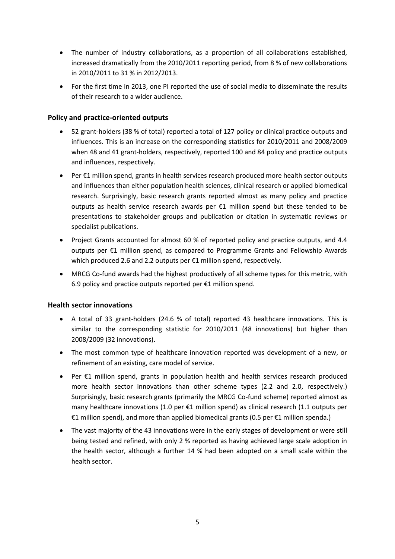- The number of industry collaborations, as a proportion of all collaborations established, increased dramatically from the 2010/2011 reporting period, from 8 % of new collaborations in 2010/2011 to 31 % in 2012/2013.
- For the first time in 2013, one PI reported the use of social media to disseminate the results of their research to a wider audience.

#### **Policy and practice-oriented outputs**

- 52 grant-holders (38 % of total) reported a total of 127 policy or clinical practice outputs and influences. This is an increase on the corresponding statistics for 2010/2011 and 2008/2009 when 48 and 41 grant-holders, respectively, reported 100 and 84 policy and practice outputs and influences, respectively.
- Per €1 million spend, grants in health services research produced more health sector outputs and influences than either population health sciences, clinical research or applied biomedical research. Surprisingly, basic research grants reported almost as many policy and practice outputs as health service research awards per €1 million spend but these tended to be presentations to stakeholder groups and publication or citation in systematic reviews or specialist publications.
- Project Grants accounted for almost 60 % of reported policy and practice outputs, and 4.4 outputs per €1 million spend, as compared to Programme Grants and Fellowship Awards which produced 2.6 and 2.2 outputs per €1 million spend, respectively.
- MRCG Co-fund awards had the highest productively of all scheme types for this metric, with 6.9 policy and practice outputs reported per €1 million spend.

#### **Health sector innovations**

- A total of 33 grant-holders (24.6 % of total) reported 43 healthcare innovations. This is similar to the corresponding statistic for 2010/2011 (48 innovations) but higher than 2008/2009 (32 innovations).
- The most common type of healthcare innovation reported was development of a new, or refinement of an existing, care model of service.
- Per €1 million spend, grants in population health and health services research produced more health sector innovations than other scheme types (2.2 and 2.0, respectively.) Surprisingly, basic research grants (primarily the MRCG Co-fund scheme) reported almost as many healthcare innovations (1.0 per €1 million spend) as clinical research (1.1 outputs per €1 million spend), and more than applied biomedical grants (0.5 per €1 million spenda.)
- The vast majority of the 43 innovations were in the early stages of development or were still being tested and refined, with only 2 % reported as having achieved large scale adoption in the health sector, although a further 14 % had been adopted on a small scale within the health sector.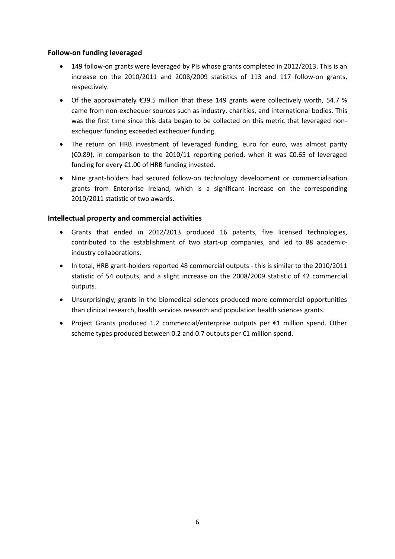#### **Follow-on funding leveraged**

- 149 follow-on grants were leveraged by PIs whose grants completed in 2012/2013. This is an increase on the 2010/2011 and 2008/2009 statistics of 113 and 117 follow-on grants, respectively.
- Of the approximately  $\epsilon$ 39.5 million that these 149 grants were collectively worth, 54.7 % came from non-exchequer sources such as industry, charities, and international bodies. This was the first time since this data began to be collected on this metric that leveraged nonexchequer funding exceeded exchequer funding.
- The return on HRB investment of leveraged funding, euro for euro, was almost parity (€0.89), in comparison to the 2010/11 reporting period, when it was €0.65 of leveraged funding for every €1.00 of HRB funding invested.
- Nine grant-holders had secured follow-on technology development or commercialisation grants from Enterprise Ireland, which is a significant increase on the corresponding 2010/2011 statistic of two awards.

#### **Intellectual property and commercial activities**

- Grants that ended in 2012/2013 produced 16 patents, five licensed technologies, contributed to the establishment of two start-up companies, and led to 88 academicindustry collaborations.
- In total, HRB grant-holders reported 48 commercial outputs this is similar to the 2010/2011 statistic of 54 outputs, and a slight increase on the 2008/2009 statistic of 42 commercial outputs.
- Unsurprisingly, grants in the biomedical sciences produced more commercial opportunities than clinical research, health services research and population health sciences grants.
- Project Grants produced 1.2 commercial/enterprise outputs per €1 million spend. Other scheme types produced between 0.2 and 0.7 outputs per €1 million spend.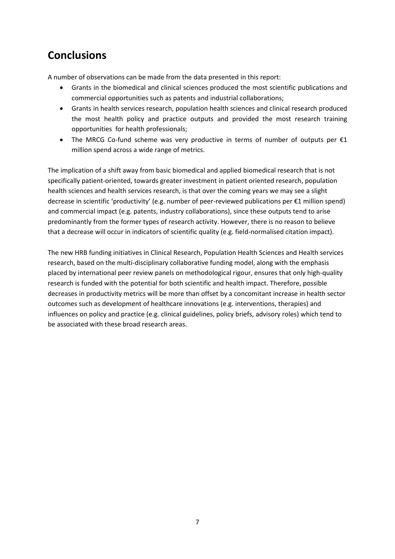### **Conclusions**

A number of observations can be made from the data presented in this report:

- Grants in the biomedical and clinical sciences produced the most scientific publications and commercial opportunities such as patents and industrial collaborations;
- Grants in health services research, population health sciences and clinical research produced the most health policy and practice outputs and provided the most research training opportunities for health professionals;
- The MRCG Co-fund scheme was very productive in terms of number of outputs per  $\epsilon_1$ million spend across a wide range of metrics.

The implication of a shift away from basic biomedical and applied biomedical research that is not specifically patient-oriented, towards greater investment in patient oriented research, population health sciences and health services research, is that over the coming years we may see a slight decrease in scientific 'productivity' (e.g. number of peer-reviewed publications per €1 million spend) and commercial impact (e.g. patents, industry collaborations), since these outputs tend to arise predominantly from the former types of research activity. However, there is no reason to believe that a decrease will occur in indicators of scientific quality (e.g. field-normalised citation impact).

The new HRB funding initiatives in Clinical Research, Population Health Sciences and Health services research, based on the multi-disciplinary collaborative funding model, along with the emphasis placed by international peer review panels on methodological rigour, ensures that only high-quality research is funded with the potential for both scientific and health impact. Therefore, possible decreases in productivity metrics will be more than offset by a concomitant increase in health sector outcomes such as development of healthcare innovations (e.g. interventions, therapies) and influences on policy and practice (e.g. clinical guidelines, policy briefs, advisory roles) which tend to be associated with these broad research areas.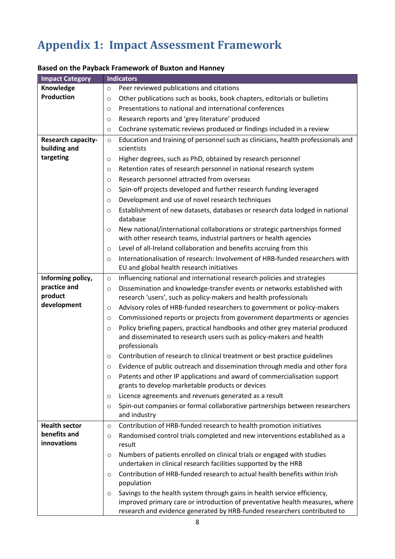### **Appendix 1: Impact Assessment Framework**

| <b>Impact Category</b> | <b>Indicators</b>                                                                                                                                                               |  |  |  |  |
|------------------------|---------------------------------------------------------------------------------------------------------------------------------------------------------------------------------|--|--|--|--|
| Knowledge              | Peer reviewed publications and citations<br>$\circ$                                                                                                                             |  |  |  |  |
| <b>Production</b>      | Other publications such as books, book chapters, editorials or bulletins<br>$\circ$                                                                                             |  |  |  |  |
|                        | Presentations to national and international conferences<br>$\circ$                                                                                                              |  |  |  |  |
|                        | Research reports and 'grey literature' produced<br>$\circ$                                                                                                                      |  |  |  |  |
|                        | Cochrane systematic reviews produced or findings included in a review<br>$\circ$                                                                                                |  |  |  |  |
| Research capacity-     | Education and training of personnel such as clinicians, health professionals and<br>$\circ$                                                                                     |  |  |  |  |
| building and           | scientists                                                                                                                                                                      |  |  |  |  |
| targeting              | Higher degrees, such as PhD, obtained by research personnel<br>$\circ$                                                                                                          |  |  |  |  |
|                        | Retention rates of research personnel in national research system<br>O                                                                                                          |  |  |  |  |
|                        | Research personnel attracted from overseas<br>O                                                                                                                                 |  |  |  |  |
|                        | Spin-off projects developed and further research funding leveraged<br>$\circ$                                                                                                   |  |  |  |  |
|                        | Development and use of novel research techniques<br>$\circ$                                                                                                                     |  |  |  |  |
|                        | Establishment of new datasets, databases or research data lodged in national<br>$\circ$<br>database                                                                             |  |  |  |  |
|                        | New national/international collaborations or strategic partnerships formed<br>$\circ$<br>with other research teams, industrial partners or health agencies                      |  |  |  |  |
|                        | Level of all-Ireland collaboration and benefits accruing from this<br>$\circ$                                                                                                   |  |  |  |  |
|                        | Internationalisation of research: Involvement of HRB-funded researchers with<br>$\circ$<br>EU and global health research initiatives                                            |  |  |  |  |
| Informing policy,      | Influencing national and international research policies and strategies<br>$\circ$                                                                                              |  |  |  |  |
| practice and           | Dissemination and knowledge-transfer events or networks established with<br>$\circ$                                                                                             |  |  |  |  |
| product                | research 'users', such as policy-makers and health professionals                                                                                                                |  |  |  |  |
| development            | Advisory roles of HRB-funded researchers to government or policy-makers<br>O                                                                                                    |  |  |  |  |
|                        | Commissioned reports or projects from government departments or agencies<br>$\circ$                                                                                             |  |  |  |  |
|                        | Policy briefing papers, practical handbooks and other grey material produced<br>$\circ$<br>and disseminated to research users such as policy-makers and health<br>professionals |  |  |  |  |
|                        | Contribution of research to clinical treatment or best practice guidelines<br>$\circ$                                                                                           |  |  |  |  |
|                        | Evidence of public outreach and dissemination through media and other fora<br>$\circ$                                                                                           |  |  |  |  |
|                        | Patents and other IP applications and award of commercialisation support<br>$\circ$                                                                                             |  |  |  |  |
|                        | grants to develop marketable products or devices                                                                                                                                |  |  |  |  |
|                        | Licence agreements and revenues generated as a result<br>O                                                                                                                      |  |  |  |  |
|                        | Spin-out companies or formal collaborative partnerships between researchers<br>$\circ$<br>and industry                                                                          |  |  |  |  |
| <b>Health sector</b>   | Contribution of HRB-funded research to health promotion initiatives<br>$\circ$                                                                                                  |  |  |  |  |
| benefits and           | Randomised control trials completed and new interventions established as a<br>O                                                                                                 |  |  |  |  |
| innovations            | result                                                                                                                                                                          |  |  |  |  |
|                        | Numbers of patients enrolled on clinical trials or engaged with studies<br>O<br>undertaken in clinical research facilities supported by the HRB                                 |  |  |  |  |
|                        | Contribution of HRB-funded research to actual health benefits within Irish<br>$\circ$<br>population                                                                             |  |  |  |  |
|                        | Savings to the health system through gains in health service efficiency,<br>$\circ$                                                                                             |  |  |  |  |
|                        | improved primary care or introduction of preventative health measures, where<br>research and evidence generated by HRB-funded researchers contributed to                        |  |  |  |  |

#### **Based on the Payback Framework of Buxton and Hanney**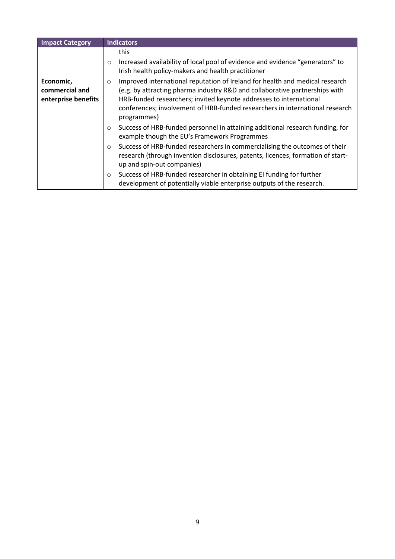| <b>Impact Category</b> | <b>Indicators</b>                                                                                                                                                                                      |  |  |  |
|------------------------|--------------------------------------------------------------------------------------------------------------------------------------------------------------------------------------------------------|--|--|--|
|                        | this                                                                                                                                                                                                   |  |  |  |
|                        | Increased availability of local pool of evidence and evidence "generators" to<br>$\circ$<br>Irish health policy-makers and health practitioner                                                         |  |  |  |
|                        |                                                                                                                                                                                                        |  |  |  |
| Economic,              | Improved international reputation of Ireland for health and medical research<br>$\circ$                                                                                                                |  |  |  |
| commercial and         | (e.g. by attracting pharma industry R&D and collaborative partnerships with                                                                                                                            |  |  |  |
| enterprise benefits    | HRB-funded researchers; invited keynote addresses to international                                                                                                                                     |  |  |  |
|                        | conferences; involvement of HRB-funded researchers in international research<br>programmes)                                                                                                            |  |  |  |
|                        | Success of HRB-funded personnel in attaining additional research funding, for<br>$\circ$<br>example though the EU's Framework Programmes                                                               |  |  |  |
|                        | Success of HRB-funded researchers in commercialising the outcomes of their<br>$\circ$<br>research (through invention disclosures, patents, licences, formation of start-<br>up and spin-out companies) |  |  |  |
|                        | Success of HRB-funded researcher in obtaining EI funding for further<br>$\circ$<br>development of potentially viable enterprise outputs of the research.                                               |  |  |  |